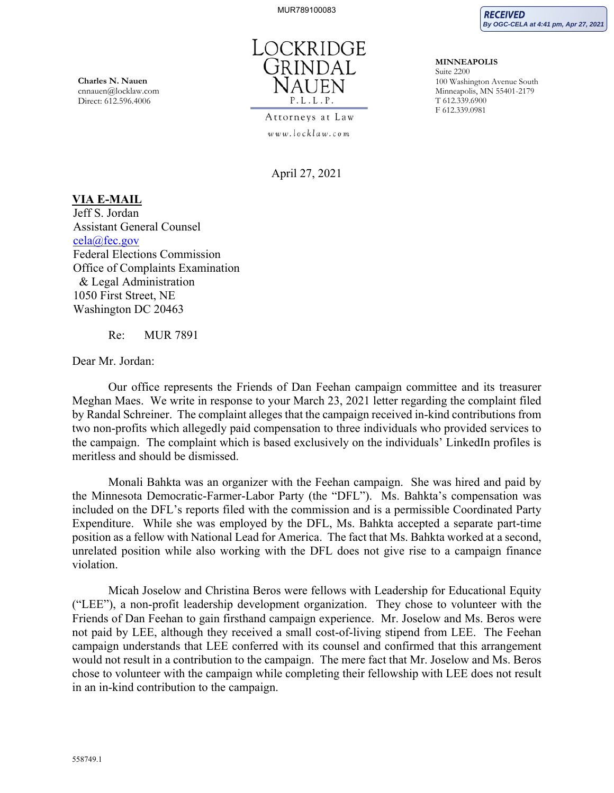**RECEIVED By OGC-CELA at 4:41 pm, Apr 27, 2021**

**MINNEAPOLIS**  Suite 2200

T 612.339.6900 F 612.339.0981

100 Washington Avenue South Minneapolis, MN 55401-2179

**Charles N. Nauen**  cnnauen@locklaw.com Direct: 612.596.4006



Attorneys at Law www.locklaw.com

April 27, 2021

## **VIA E-MAIL**

Jeff S. Jordan Assistant General Counsel cela@fec.gov Federal Elections Commission Office of Complaints Examination & Legal Administration 1050 First Street, NE Washington DC 20463

Re: MUR 7891

Dear Mr. Jordan:

Our office represents the Friends of Dan Feehan campaign committee and its treasurer Meghan Maes. We write in response to your March 23, 2021 letter regarding the complaint filed by Randal Schreiner. The complaint alleges that the campaign received in-kind contributions from two non-profits which allegedly paid compensation to three individuals who provided services to the campaign. The complaint which is based exclusively on the individuals' LinkedIn profiles is meritless and should be dismissed.

Monali Bahkta was an organizer with the Feehan campaign. She was hired and paid by the Minnesota Democratic-Farmer-Labor Party (the "DFL"). Ms. Bahkta's compensation was included on the DFL's reports filed with the commission and is a permissible Coordinated Party Expenditure. While she was employed by the DFL, Ms. Bahkta accepted a separate part-time position as a fellow with National Lead for America. The fact that Ms. Bahkta worked at a second, unrelated position while also working with the DFL does not give rise to a campaign finance violation.

Micah Joselow and Christina Beros were fellows with Leadership for Educational Equity ("LEE"), a non-profit leadership development organization. They chose to volunteer with the Friends of Dan Feehan to gain firsthand campaign experience. Mr. Joselow and Ms. Beros were not paid by LEE, although they received a small cost-of-living stipend from LEE. The Feehan campaign understands that LEE conferred with its counsel and confirmed that this arrangement would not result in a contribution to the campaign. The mere fact that Mr. Joselow and Ms. Beros chose to volunteer with the campaign while completing their fellowship with LEE does not result in an in-kind contribution to the campaign.